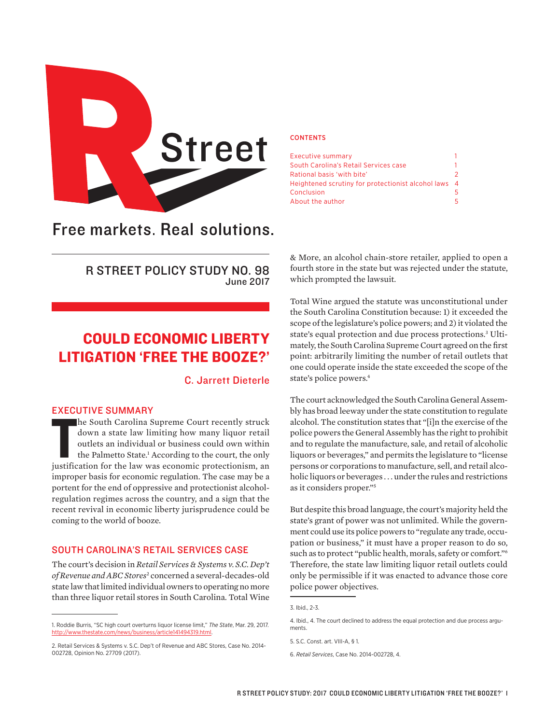

# Free markets. Real solutions.

R STREET POLICY STUDY NO. 98 June 2017

## COULD ECONOMIC LIBERTY LITIGATION 'FREE THE BOOZE?'

C. Jarrett Dieterle

## EXECUTIVE SUMMARY

THE COMMENT COMMENT OF SUMMARY TO LOCALLE THE SOUTH CARD SUPPORT OF SUPPORT AND WELD ON THE SOUND THE PAIR OF THE PAIR THAT THE PAIR THE PAIR THE PAIR THE PAIR THAT THE PAIR THAT THE PAIR OF THE LAW WAS SCONDIG TO THE CONT he South Carolina Supreme Court recently struck down a state law limiting how many liquor retail outlets an individual or business could own within the Palmetto State.<sup>1</sup> According to the court, the only improper basis for economic regulation. The case may be a portent for the end of oppressive and protectionist alcoholregulation regimes across the country, and a sign that the recent revival in economic liberty jurisprudence could be coming to the world of booze.

## SOUTH CAROLINA'S RETAIL SERVICES CASE

The court's decision in *Retail Services & Systems v. S.C. Dep't of Revenue and ABC Stores*<sup>2</sup> concerned a several-decades-old state law that limited individual owners to operating no more than three liquor retail stores in South Carolina. Total Wine

#### **CONTENTS**

| Executive summary                                    |   |
|------------------------------------------------------|---|
| South Carolina's Retail Services case                |   |
| Rational basis 'with bite'                           | 2 |
| Heightened scrutiny for protectionist alcohol laws 4 |   |
| Conclusion                                           | 5 |
| About the author                                     | 5 |

& More, an alcohol chain-store retailer, applied to open a fourth store in the state but was rejected under the statute, which prompted the lawsuit.

Total Wine argued the statute was unconstitutional under the South Carolina Constitution because: 1) it exceeded the scope of the legislature's police powers; and 2) it violated the state's equal protection and due process protections.3 Ultimately, the South Carolina Supreme Court agreed on the first point: arbitrarily limiting the number of retail outlets that one could operate inside the state exceeded the scope of the state's police powers.4

The court acknowledged the South Carolina General Assembly has broad leeway under the state constitution to regulate alcohol. The constitution states that "[i]n the exercise of the police powers the General Assembly has the right to prohibit and to regulate the manufacture, sale, and retail of alcoholic liquors or beverages," and permits the legislature to "license persons or corporations to manufacture, sell, and retail alcoholic liquors or beverages . . . under the rules and restrictions as it considers proper."5

But despite this broad language, the court's majority held the state's grant of power was not unlimited. While the government could use its police powers to "regulate any trade, occupation or business," it must have a proper reason to do so, such as to protect "public health, morals, safety or comfort."6 Therefore, the state law limiting liquor retail outlets could only be permissible if it was enacted to advance those core police power objectives.

<sup>1.</sup> Roddie Burris, "SC high court overturns liquor license limit," *The State*, Mar. 29, 2017. <http://www.thestate.com/news/business/article141494319.html>.

<sup>2.</sup> Retail Services & Systems v. S.C. Dep't of Revenue and ABC Stores, Case No. 2014- 002728, Opinion No. 27709 (2017).

<sup>3.</sup> Ibid., 2-3.

<sup>4.</sup> Ibid., 4. The court declined to address the equal protection and due process arguments.

<sup>5.</sup> S.C. Const. art. VIII-A, § 1.

<sup>6.</sup> *Retail Services*, Case No. 2014-002728, 4.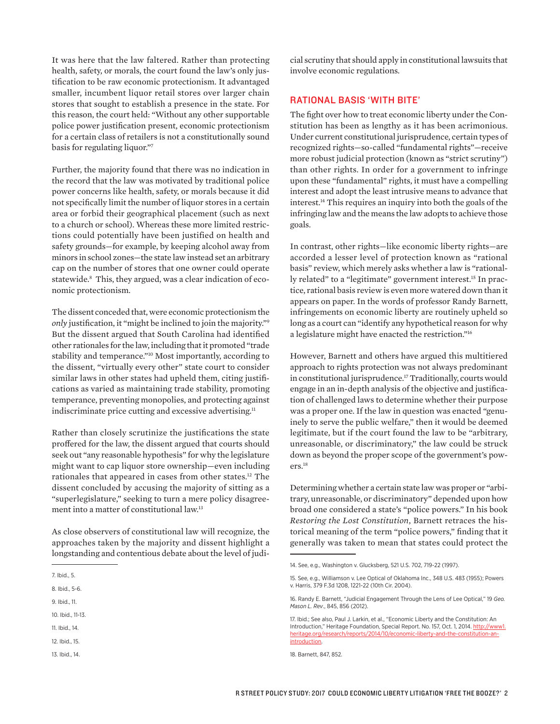It was here that the law faltered. Rather than protecting health, safety, or morals, the court found the law's only justification to be raw economic protectionism. It advantaged smaller, incumbent liquor retail stores over larger chain stores that sought to establish a presence in the state. For this reason, the court held: "Without any other supportable police power justification present, economic protectionism for a certain class of retailers is not a constitutionally sound basis for regulating liquor."7

Further, the majority found that there was no indication in the record that the law was motivated by traditional police power concerns like health, safety, or morals because it did not specifically limit the number of liquor stores in a certain area or forbid their geographical placement (such as next to a church or school). Whereas these more limited restrictions could potentially have been justified on health and safety grounds—for example, by keeping alcohol away from minors in school zones—the state law instead set an arbitrary cap on the number of stores that one owner could operate statewide.8 This, they argued, was a clear indication of economic protectionism.

The dissent conceded that, were economic protectionism the *only* justification, it "might be inclined to join the majority."9 But the dissent argued that South Carolina had identified other rationales for the law, including that it promoted "trade stability and temperance."10 Most importantly, according to the dissent, "virtually every other" state court to consider similar laws in other states had upheld them, citing justifications as varied as maintaining trade stability, promoting temperance, preventing monopolies, and protecting against indiscriminate price cutting and excessive advertising.<sup>11</sup>

Rather than closely scrutinize the justifications the state proffered for the law, the dissent argued that courts should seek out "any reasonable hypothesis" for why the legislature might want to cap liquor store ownership—even including rationales that appeared in cases from other states.<sup>12</sup> The dissent concluded by accusing the majority of sitting as a "superlegislature," seeking to turn a mere policy disagreement into a matter of constitutional law.13

As close observers of constitutional law will recognize, the approaches taken by the majority and dissent highlight a longstanding and contentious debate about the level of judi-

13. Ibid., 14.

cial scrutiny that should apply in constitutional lawsuits that involve economic regulations.

## RATIONAL BASIS 'WITH BITE'

The fight over how to treat economic liberty under the Constitution has been as lengthy as it has been acrimonious. Under current constitutional jurisprudence, certain types of recognized rights—so-called "fundamental rights"—receive more robust judicial protection (known as "strict scrutiny") than other rights. In order for a government to infringe upon these "fundamental" rights, it must have a compelling interest and adopt the least intrusive means to advance that interest.14 This requires an inquiry into both the goals of the infringing law and the means the law adopts to achieve those goals.

In contrast, other rights—like economic liberty rights—are accorded a lesser level of protection known as "rational basis" review, which merely asks whether a law is "rationally related" to a "legitimate" government interest.<sup>15</sup> In practice, rational basis review is even more watered down than it appears on paper. In the words of professor Randy Barnett, infringements on economic liberty are routinely upheld so long as a court can "identify any hypothetical reason for why a legislature might have enacted the restriction."16

However, Barnett and others have argued this multitiered approach to rights protection was not always predominant in constitutional jurisprudence.<sup>17</sup> Traditionally, courts would engage in an in-depth analysis of the objective and justification of challenged laws to determine whether their purpose was a proper one. If the law in question was enacted "genuinely to serve the public welfare," then it would be deemed legitimate, but if the court found the law to be "arbitrary, unreasonable, or discriminatory," the law could be struck down as beyond the proper scope of the government's powers.18

Determining whether a certain state law was proper or "arbitrary, unreasonable, or discriminatory" depended upon how broad one considered a state's "police powers." In his book *Restoring the Lost Constitution*, Barnett retraces the historical meaning of the term "police powers," finding that it generally was taken to mean that states could protect the

<sup>7.</sup> Ibid., 5.

<sup>8.</sup> Ibid., 5-6.

<sup>9.</sup> Ibid., 11.

<sup>10.</sup> Ibid., 11-13.

<sup>11.</sup> Ibid., 14.

<sup>12.</sup> Ibid., 15.

<sup>14.</sup> See, e.g., Washington v. Glucksberg, 521 U.S. 702, 719-22 (1997).

<sup>15.</sup> See, e.g., Williamson v. Lee Optical of Oklahoma Inc., 348 U.S. 483 (1955); Powers v. Harris, 379 F.3d 1208, 1221-22 (10th Cir. 2004).

<sup>16.</sup> Randy E. Barnett, "Judicial Engagement Through the Lens of Lee Optical," 19 *Geo. Mason L. Rev*., 845, 856 (2012).

<sup>17.</sup> Ibid.; See also, Paul J. Larkin, et al., "Economic Liberty and the Constitution: An Introduction," Heritage Foundation, Special Report. No. 157, Oct. 1, 2014. [http://www1.](http://www1.heritage.org/research/reports/2014/10/economic-liberty-and-the-constitution-an-introduction) [heritage.org/research/reports/2014/10/economic-liberty-and-the-constitution-an](http://www1.heritage.org/research/reports/2014/10/economic-liberty-and-the-constitution-an-introduction)[introduction](http://www1.heritage.org/research/reports/2014/10/economic-liberty-and-the-constitution-an-introduction).

<sup>18.</sup> Barnett, 847, 852.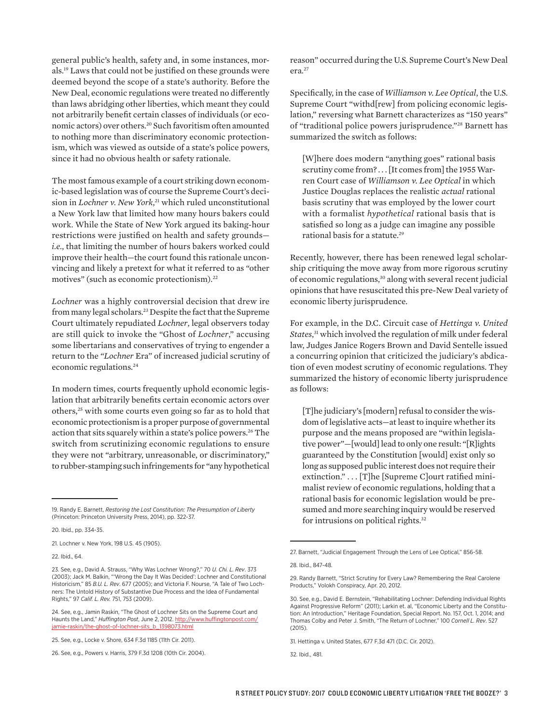general public's health, safety and, in some instances, morals.19 Laws that could not be justified on these grounds were deemed beyond the scope of a state's authority. Before the New Deal, economic regulations were treated no differently than laws abridging other liberties, which meant they could not arbitrarily benefit certain classes of individuals (or economic actors) over others.20 Such favoritism often amounted to nothing more than discriminatory economic protectionism, which was viewed as outside of a state's police powers, since it had no obvious health or safety rationale.

The most famous example of a court striking down economic-based legislation was of course the Supreme Court's decision in *Lochner v. New York*, 21 which ruled unconstitutional a New York law that limited how many hours bakers could work. While the State of New York argued its baking-hour restrictions were justified on health and safety grounds *i.e.*, that limiting the number of hours bakers worked could improve their health—the court found this rationale unconvincing and likely a pretext for what it referred to as "other motives" (such as economic protectionism).<sup>22</sup>

*Lochner* was a highly controversial decision that drew ire from many legal scholars.23 Despite the fact that the Supreme Court ultimately repudiated *Lochner*, legal observers today are still quick to invoke the "Ghost of *Lochner*," accusing some libertarians and conservatives of trying to engender a return to the *"Lochner* Era" of increased judicial scrutiny of economic regulations.<sup>24</sup>

In modern times, courts frequently uphold economic legislation that arbitrarily benefits certain economic actors over others,25 with some courts even going so far as to hold that economic protectionism is a proper purpose of governmental action that sits squarely within a state's police powers.<sup>26</sup> The switch from scrutinizing economic regulations to ensure they were not "arbitrary, unreasonable, or discriminatory," to rubber-stamping such infringements for "any hypothetical

20. Ibid., pp. 334-35.

21. Lochner v. New York, 198 U.S. 45 (1905).

22. Ibid., 64.

reason" occurred during the U.S. Supreme Court's New Deal era.27

Specifically, in the case of *Williamson v. Lee Optical*, the U.S. Supreme Court "withd[rew] from policing economic legislation," reversing what Barnett characterizes as "150 years" of "traditional police powers jurisprudence."28 Barnett has summarized the switch as follows:

[W]here does modern "anything goes" rational basis scrutiny come from? . . . [It comes from] the 1955 Warren Court case of *Williamson v. Lee Optical* in which Justice Douglas replaces the realistic *actual* rational basis scrutiny that was employed by the lower court with a formalist *hypothetical* rational basis that is satisfied so long as a judge can imagine any possible rational basis for a statute.29

Recently, however, there has been renewed legal scholarship critiquing the move away from more rigorous scrutiny of economic regulations,<sup>30</sup> along with several recent judicial opinions that have resuscitated this pre-New Deal variety of economic liberty jurisprudence.

For example, in the D.C. Circuit case of *Hettinga v. United States*, 31 which involved the regulation of milk under federal law, Judges Janice Rogers Brown and David Sentelle issued a concurring opinion that criticized the judiciary's abdication of even modest scrutiny of economic regulations. They summarized the history of economic liberty jurisprudence as follows:

[T]he judiciary's [modern] refusal to consider the wisdom of legislative acts—at least to inquire whether its purpose and the means proposed are "within legislative power"—[would] lead to only one result: "[R]ights guaranteed by the Constitution [would] exist only so long as supposed public interest does not require their extinction." . . . [T]he [Supreme C]ourt ratified minimalist review of economic regulations, holding that a rational basis for economic legislation would be presumed and more searching inquiry would be reserved for intrusions on political rights.32

<sup>19.</sup> Randy E. Barnett, *Restoring the Lost Constitution: The Presumption of Liberty*  (Princeton: Princeton University Press, 2014), pp. 322-37.

<sup>23.</sup> See, e.g., David A. Strauss, "Why Was Lochner Wrong?," 70 *U. Chi. L. Rev*. 373 (2003); Jack M. Balkin, "'Wrong the Day It Was Decided': Lochner and Constitutional Historicism," 85 *B.U. L. Rev*. 677 (2005); and Victoria F. Nourse, "A Tale of Two Lochners: The Untold History of Substantive Due Process and the Idea of Fundamental Rights," 97 *Calif. L. Rev.* 751, 753 (2009).

<sup>24.</sup> See, e.g., Jamin Raskin, "The Ghost of Lochner Sits on the Supreme Court and Haunts the Land," *Huffington Post*, June 2, 2012. [http://www.huffingtonpost.com/](http://www.huffingtonpost.com/jamie-raskin/the-ghost-of-lochner-sits_b_1398073.html) [jamie-raskin/the-ghost-of-lochner-sits\\_b\\_1398073.html](http://www.huffingtonpost.com/jamie-raskin/the-ghost-of-lochner-sits_b_1398073.html)

<sup>25.</sup> See, e.g., Locke v. Shore, 634 F.3d 1185 (11th Cir. 2011).

<sup>26.</sup> See, e.g., Powers v. Harris, 379 F.3d 1208 (10th Cir. 2004).

<sup>27.</sup> Barnett, "Judicial Engagement Through the Lens of Lee Optical," 856-58.

<sup>28.</sup> Ibid., 847-48.

<sup>29.</sup> Randy Barnett, "Strict Scrutiny for Every Law? Remembering the Real Carolene Products," Volokh Conspiracy, Apr. 20, 2012.

<sup>30.</sup> See, e.g., David E. Bernstein, "Rehabilitating Lochner: Defending Individual Rights Against Progressive Reform" (2011); Larkin et. al, "Economic Liberty and the Constitution: An Introduction," Heritage Foundation, Special Report. No. 157, Oct. 1, 2014; and Thomas Colby and Peter J. Smith, "The Return of Lochner," 100 *Cornell L. Rev*. 527  $(2015)$ 

<sup>31.</sup> Hettinga v. United States, 677 F.3d 471 (D.C. Cir. 2012).

<sup>32.</sup> Ibid., 481.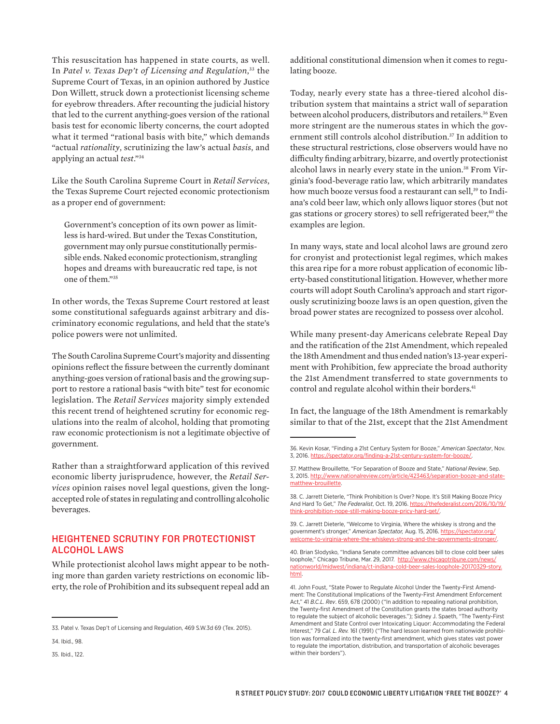This resuscitation has happened in state courts, as well. In *Patel v. Texas Dep't of Licensing and Regulation*, 33 the Supreme Court of Texas, in an opinion authored by Justice Don Willett, struck down a protectionist licensing scheme for eyebrow threaders. After recounting the judicial history that led to the current anything-goes version of the rational basis test for economic liberty concerns, the court adopted what it termed "rational basis with bite," which demands "actual *rationality*, scrutinizing the law's actual *basis*, and applying an actual *test*."34

Like the South Carolina Supreme Court in *Retail Services*, the Texas Supreme Court rejected economic protectionism as a proper end of government:

Government's conception of its own power as limitless is hard-wired. But under the Texas Constitution, government may only pursue constitutionally permissible ends. Naked economic protectionism, strangling hopes and dreams with bureaucratic red tape, is not one of them."35

In other words, the Texas Supreme Court restored at least some constitutional safeguards against arbitrary and discriminatory economic regulations, and held that the state's police powers were not unlimited.

The South Carolina Supreme Court's majority and dissenting opinions reflect the fissure between the currently dominant anything-goes version of rational basis and the growing support to restore a rational basis "with bite" test for economic legislation. The *Retail Services* majority simply extended this recent trend of heightened scrutiny for economic regulations into the realm of alcohol, holding that promoting raw economic protectionism is not a legitimate objective of government.

Rather than a straightforward application of this revived economic liberty jurisprudence, however, the *Retail Services* opinion raises novel legal questions, given the longaccepted role of states in regulating and controlling alcoholic beverages.

## HEIGHTENED SCRUTINY FOR PROTECTIONIST ALCOHOL LAWS

While protectionist alcohol laws might appear to be nothing more than garden variety restrictions on economic liberty, the role of Prohibition and its subsequent repeal add an

35. Ibid., 122.

additional constitutional dimension when it comes to regulating booze.

Today, nearly every state has a three-tiered alcohol distribution system that maintains a strict wall of separation between alcohol producers, distributors and retailers.<sup>36</sup> Even more stringent are the numerous states in which the government still controls alcohol distribution.<sup>37</sup> In addition to these structural restrictions, close observers would have no difficulty finding arbitrary, bizarre, and overtly protectionist alcohol laws in nearly every state in the union.<sup>38</sup> From Virginia's food-beverage ratio law, which arbitrarily mandates how much booze versus food a restaurant can sell,<sup>39</sup> to Indiana's cold beer law, which only allows liquor stores (but not gas stations or grocery stores) to sell refrigerated beer,<sup>40</sup> the examples are legion.

In many ways, state and local alcohol laws are ground zero for cronyist and protectionist legal regimes, which makes this area ripe for a more robust application of economic liberty-based constitutional litigation. However, whether more courts will adopt South Carolina's approach and start rigorously scrutinizing booze laws is an open question, given the broad power states are recognized to possess over alcohol.

While many present-day Americans celebrate Repeal Day and the ratification of the 21st Amendment, which repealed the 18th Amendment and thus ended nation's 13-year experiment with Prohibition, few appreciate the broad authority the 21st Amendment transferred to state governments to control and regulate alcohol within their borders.<sup>41</sup>

In fact, the language of the 18th Amendment is remarkably similar to that of the 21st, except that the 21st Amendment

<sup>33.</sup> Patel v. Texas Dep't of Licensing and Regulation, 469 S.W.3d 69 (Tex. 2015).

<sup>34.</sup> Ibid., 98.

<sup>36.</sup> Kevin Kosar, "Finding a 21st Century System for Booze," *American Spectator*, Nov. 3, 2016. https://spectator.org/finding-a-21st-

<sup>37.</sup> Matthew Brouillette, "For Separation of Booze and State," *National Review*, Sep. 3, 2015. [http://www.nationalreview.com/article/423463/separation-booze-and-state](http://www.nationalreview.com/article/423463/separation-booze-and-state-matthew-brouillette)[matthew-brouillette.](http://www.nationalreview.com/article/423463/separation-booze-and-state-matthew-brouillette)

<sup>38.</sup> C. Jarrett Dieterle, "Think Prohibition Is Over? Nope. It's Still Making Booze Pricy And Hard To Get," *The Federalist*, Oct. 19, 2016. [https://thefederalist.com/2016/10/19/](https://thefederalist.com/2016/10/19/think-prohibition-nope-still-making-booze-pricy-hard-get/)  $t$ -hard-get/

<sup>39.</sup> C. Jarrett Dieterle, "Welcome to Virginia, Where the whiskey is strong and the government's stronger," *American Spectator,* Aug. 15, 2016. [https://spectator.org/](https://spectator.org/welcome-to-virginia-where-the-whiskeys-strong-and-the-governments-stronger/) [welcome-to-virginia-where-the-whiskeys-strong-and-the-governments-stronger/.](https://spectator.org/welcome-to-virginia-where-the-whiskeys-strong-and-the-governments-stronger/)

<sup>40.</sup> Brian Slodysko, "Indiana Senate committee advances bill to close cold beer sales loophole," Chicago Tribune, Mar. 29, 2017. [http://www.chicagotribune.com/news/](http://www.chicagotribune.com/news/nationworld/midwest/indiana/ct-indiana-cold-beer-sales-loophole-20170329-story.html) [nationworld/midwest/indiana/ct-indiana-cold-beer-sales-loophole-20170329-story.](http://www.chicagotribune.com/news/nationworld/midwest/indiana/ct-indiana-cold-beer-sales-loophole-20170329-story.html) [html.](http://www.chicagotribune.com/news/nationworld/midwest/indiana/ct-indiana-cold-beer-sales-loophole-20170329-story.html)

<sup>41.</sup> John Foust, "State Power to Regulate Alcohol Under the Twenty-First Amendment: The Constitutional Implications of the Twenty-First Amendment Enforcement Act," 41 *B.C.L. Rev*. 659, 678 (2000) ("In addition to repealing national prohibition, the Twenty-first Amendment of the Constitution grants the states broad authority to regulate the subject of alcoholic beverages."); Sidney J. Spaeth, "The Twenty-First Amendment and State Control over Intoxicating Liquor: Accommodating the Federal Interest," 79 *Cal. L. Rev.* 161 (1991) ("The hard lesson learned from nationwide prohibition was formalized into the twenty-first amendment, which gives states vast power to regulate the importation, distribution, and transportation of alcoholic beverages within their borders").